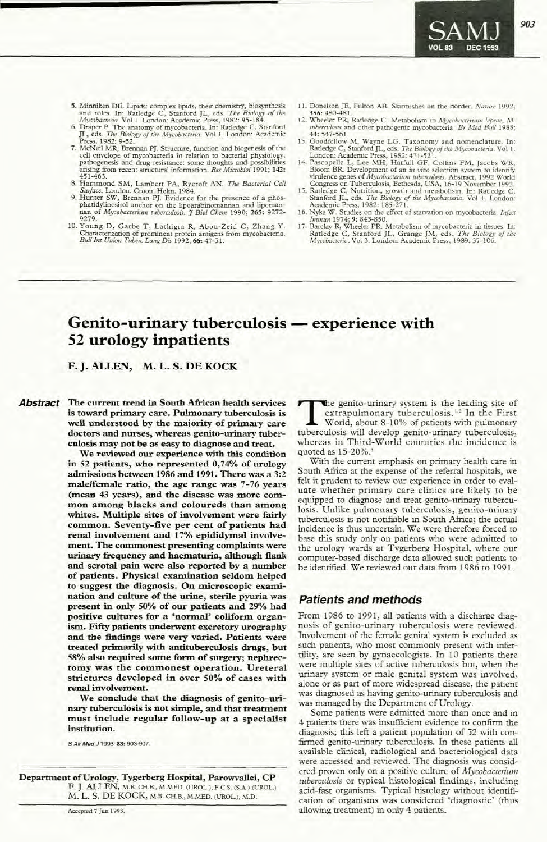# Genito-urinary tuberculosis — experience with 52 urology inpatients

## F. J. ALLEN, M. L. S. DE KOCK

Abstract The current trend in South African health services is toward primary care. Pulmonary tuberculosis is well understood by the majority of primary care doctors and nurses, whereas genito-urinary tuberculosis may not be as easy to diagnose and treat.

> We reviewed our experience with this condition in 52 patients, who represented 0,74% of urology admissions between 1986 and 1991. There was a 3:2 male/female ratio, the age range was 7-76 years (mean 43 years), and the disease was more common among blacks and coloureds than among whites. Multiple sites of involvement were fairly common. Seventy-five per cent of patients had renal involvement and 17% epididymal involvement. The commonest presenting complaints were urinary frequency and haematuria, although flank and scrotal pain were also reported by a number of patients. Physical examination seldom helped to suggest the diagnosis. On microscopic examination and culture of the urine, sterile pyuria was present in only 50% of our patients and 29% had positive cultures for a 'normal' coliform organism. Fifty patients underwent excretory urography and the findings were very varied. Patients were treated primarily with antituberculosis drugs, but 58% also required some form of surgery; nephrectomy was the commonest operation. Ureteral strictures developed in over 50% of cases with renal involvement.

> We conclude that the diagnosis of genito-urinary tuberculosis is not simple, and that treatment must include regular follow-up at a specialist institution.

S Air Med J 1993; 83: 903-907.

Department of Urology, Tygerberg Hospital, Parowvallei, CP F. J. ALLEN, M.B. CH.B., M.MED. (UROL.), F.C.S. (S.A.) (UROL.) M. L. S. DE KOCK, M.B. CH.B., M.MED. (UROL.), M.D.

Accepced 7 Jun 1993.

the genito-urinary system is the leading site of extrapulmonary tuberculosis.<sup>1,2</sup> In the First World, about 8-10% of patients with pulmonary tuberculosis will develop genito-urinary tuberculosis, whereas in Third-World countries the incidence is quoted as 15-20%.'

With the current emphasis on primary health care in South Africa at the expense of the referral hospitals, we felt it prudent to review our experience in order to evaluate whether primary care clinics are likely to be equipped to diagnose and treat genito-urinary tuberculosis. Unlike pulmonary tuberculosis, genito-urinary tuberculosis is not notifiable in South Africa; the actual incidence is thus uncertain. We were therefore forced to base this study only on patients who were admitted to the urology wards at Tygerberg Hospital, where our computer-based discharge data allowed such patients to be identified. We reviewed our data from 1986 to 1991.

# Patients and methods

From 1986 to 1991, all patients with a discharge diagnosis of genito-urinary tuberculosis were reviewed. Involvement of the female genital system is excluded as such patients, who most commonly present with infertility, are seen by gynaecologists. In 10 patients there were multiple sites of active tuberculosis but, when the urinary system or male genital system was involved, alone or as part of more widespread disease, the patient was diagnosed as having genito-urinary tuberculosis and was managed by the Department of Urology.

Some patients were admitted more than once and in 4 patients there was insufficient evidence to confirm the diagnosis; this left a patient population of 52 with confinned genito-urinary tuberculosis. In these patients all available clinical, radiological and bacteriological data were accessed and reviewed. The diagnosis was considered proven only on a positive culture of *Mycobacterium ruberculosis* or typical histological findings, including acid-fast organisms. Typical histology without identification of organisms was considered 'diagnostic' (thus allowing treatment) in only 4 patients.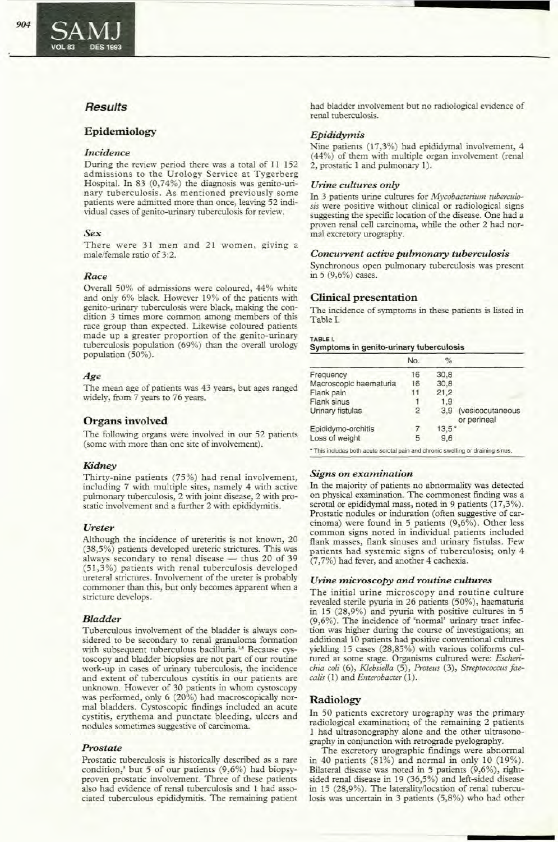### Epidemiology

#### *Incidence*

During the review period there was a total of 11 152 admissions to the Urology Service at Tygerberg Hospital. In 83 (0,74%) the diagnosis was genito-urinary tuberculosis. As mentioned previously some patients were admitted more than once, leaving 52 individual cases of genito-urinary tuberculosis for review.

### *Sex*

There were 31 men and 21 women, giving a male/female ratio of 3:2.

### *Race*

Overall 50% of admissions were coloured, 44% white and only 6% black. However 19% of the patients with genito-urinary tuberculosis were black, making the condition 3 times more common among members of this race group than expected. Likewise coloured patients made up a greater proportion of the genito-urinary tuberculosis population (69%) than the overall urology population (50%).

### *Age*

The mean age of patients was 43 years, bur ages ranged widely, from 7 years to 76 years.

### Organs involved

The following organs were involved in our 52 patients (some with more than one site of involvement).

#### *Kidney*

Thirty-nine patients (75%) had renal involvement, including 7 with multiple sites, namely 4 with active pulmonary tuberculosis, 2 with joint disease, 2 with prostatic involvement and a further 2 with epididymitis.

#### *Ureter*

Although the incidence of ureteritis is not known, 20 (38,5%) patients developed ureteric strictures. This was always secondary to renal disease  $-$  thus 20 of 39 (51,3%) patients with renal tuberculosis developed ureteral strictures. Involvement of the ureter is probably commoner than this, but only becomes apparent when a stricture develops.

#### *Bladder*

Tuberculous involvement of the bladder is always considered to be secondary to renal granuloma formation with subsequent tuberculous bacilluria.<sup>4,5</sup> Because cystoscopy and bladder biopsies are not part of our routine work-up in cases of urinary tuberculosis, the incidence and extent of tuberculous cystitis in our patients are unknown. However of 30 patients in whom cystoscopy was performed, only 6 (20%) had macroscopically normal bladders. Cystoscopic findings included an acute cystitis, erythema and punctate bleeding, ulcers and nodules sometimes suggestive of carcinoma.

#### *Prostate*

Prostatic tuberculosis is historically described as a rare condition,' but 5 of our patients (9,6%) had biopsyproven prostatic involvement. Three of these patients also had evidence of renal tuberculosis and 1 had associated ruberculous epididymitis. The remaining patient had bladder involvement but no radiological evidence of renal ruberculosis.

### *Epididymis*

Nine patients (17,3%) had epididymal involvement, 4 (44%) of them with multiple organ involvement (renal 2, prostatic I and pulmonary I).

#### *Urine cultures only*

In 3 patients urine cultures for *Mycobacterium tuberculosis* were positive without clinical or radiological signs suggesting the specific location of the disease. One had a proven renal cell carcinoma, while the other 2 had normal excretory urography.

#### *Concurrent active pulmonary tuberculosis*

Synchronous open pulmonary tuberculosis was present in 5 (9,6%) cases.

### Clinical presentation

The incidence of symptoms in these patients is listed in Table I.

| Symptoms in genito-urinary tuberculosis |  |
|-----------------------------------------|--|
| TABLE I.                                |  |

|                                                                                                               | No. | $\%$    |                                 |
|---------------------------------------------------------------------------------------------------------------|-----|---------|---------------------------------|
| Frequency                                                                                                     | 16  | 30.8    |                                 |
| Macroscopic haematuria                                                                                        | 16  | 30.8    |                                 |
| Flank pain                                                                                                    | 11  | 21,2    |                                 |
| Flank sinus                                                                                                   |     | 1.9     |                                 |
| Urinary fistulas                                                                                              | 2   | 3.9     | (vesicocutaneous<br>or perineal |
| Epididymo-orchitis                                                                                            | 7   | $13.5*$ |                                 |
| Loss of weight                                                                                                | 5   | 9.6     |                                 |
| a Third the short short is with the country would be a small whose other proved the completed to be a factory |     |         |                                 |

This includes both acute scrotal pain and chronic swelling or draining sinus.

### *Signs on examination*

In the majority of patients no abnormality was detected on physical examination. The commonest finding was a scrotal or epididymal mass, noted in 9 patients (17,3%). Prostatic nodules or induration (often suggestive of carcinoma) were found in 5 patients (9,6%). Other less common signs noted in individual patients included flank masses, flank sinuses and urinary fistulas. Few patients had systemic signs of tuberculosis; only 4 (7,7%) had fever, and another 4 cachexia.

#### *Urine microscopy and routine cultures*

The initial urine microscopy and routine culture revealed sterile pyuria in 26 patients (50%), haematuria in 15 (28,9%) and pyuria with positive cultures in 5 (9,6%). The incidence of 'normal' urinary tract infection was higher during the course of investigations; an additional 10 patients had positive conventional cultures yielding 15 cases (28,85%) with various coliforms cultured at some stage. Organisms cultured were: *Escherichia coli* (6), *Klebsiella* (5), *Proteus* (3), *Strepwcoccus faecalis* (1) and *Enterobacter* (1).

### Radiology

In 50 patients excretory urography was the primary radiological examination; of the remaining 2 patients 1 had ultrasonography alone and the other ultrasonography in conjunction with retrograde pyelography.

The excretory urographic findings were abnormal in 40 patients  $(81\%)$  and normal in only 10  $(19\%).$ Bilateral disease was noted in 5 patients (9,6%), rightsided renal disease in 19 (36,5%) and left-sided disease in 15 (28,9%). The lateralityllocation of renal tuberculosis was uncertain in 3 patients (5,8%) who had other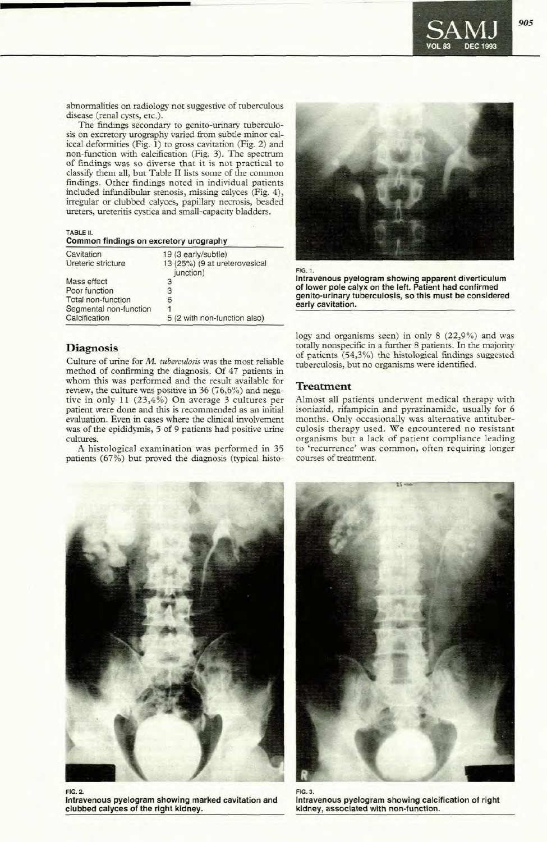

abnormalities on radiology not suggestive of tuberculous disease (renal cysts, etc.).

The findings secondary to genito-urinary tuberculosis on excretory urography varied from subtle minor caliceal deformities (Fig. 1) to gross cavitation (Fig. 2) and non-function with calcification (Fig. 3). The spectrum of findings was so diverse that it is not practical to classify them all, but Table II lists some of the common findings. Other findings noted in individual patients included infundibular stenosis, missing calyces (Fig. 4), irregular or clubbed calyces, papillary necrosis, beaded ureters, ureteritis cystica and small-capacity bladders.

TABLE 11.

|  |  |  |  | Common findings on excretory urography |
|--|--|--|--|----------------------------------------|
|--|--|--|--|----------------------------------------|

| Cavitation             | 19 (3 early/subtle)                        |
|------------------------|--------------------------------------------|
| Ureteric stricture     | 13 (25%) (9 at ureterovesical<br>junction) |
| Mass effect            | 3                                          |
| Poor function          | 3                                          |
| Total non-function     | 6                                          |
| Segmental non-function | $\mathbf{1}$                               |
| Calcification          | 5 (2 with non-function also)               |

## **Diagnosis**

Culrure of urine for M. *mberculosis* was the most reliable method of confirming the diagnosis. Of 47 patients in whom this was performed and the result available for review, the culrure was positive in 36 (76,6%) and negative in only 11 (23,4%) On average 3 cultures per patient were done and this is recommended as an initial evaluation. Even in cases where the clinical involvement was of the epididymis, 5 of 9 patients had positive urine cultures.

A histological examination was performed in 35 patients (67%) but proved the diagnosis (typical histo-



Intravenous pyelogram showing apparent diverticulum of lower pole calyx on the left. Patient had confirmed genito-urinary tuberculosis, so this must be considered early cavitation.

logy and organisms seen) in only 8 (22,9%) and was totally nonspecific in a further 8 patients. In the majority of patients (54,3%) the histological findings suggested tuberculosis, but no organisms were identified.

### Treatment

Almost all patients underwent medical therapy with isoniazid, rifampicin and pyrazinamide, usually for 6 months. Only occasionally was alternative amituberculosis therapy used. We encountered no resistant organisms but a lack of patient compliance leading to 'recurrence' was common, often requiring longer courses of treatment.



FIG. 2.

Intravenous pyelogram showing marked cavitation and clubbed calyces of the right kidney.



FIG. 3. Intravenous pyelogram showing calcification of right kidney, associated with non-function.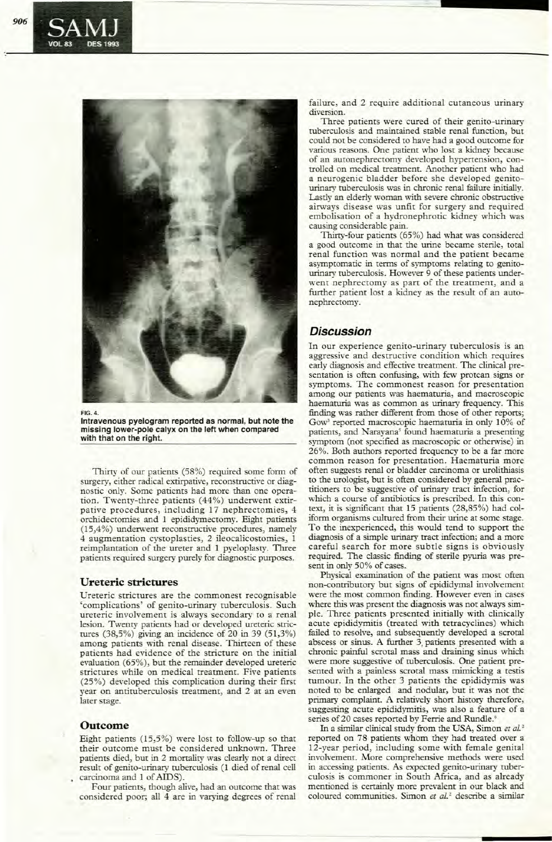

FIG. 4.

**Intravenous pyelogram reported as normal, but note the missing lower-pole calyx on the left when compared with that on the right.**

Thirty of our patients (58%) required some form of surgery, either radical extirpative, reconstructive or diagnostic only. Some patients had more than one operation. Twenty-three patients (44%) underwent extirpative procedures, including 17 nephrectomies, 4 orchidectomies and I epididymectomy. Eight patients (15,4%) underwent reconstructive procedures, namely 4 augmentation cystoplasties, 2 ileocalicostomies, I reimplantation of the ureter and I pyeloplasty. Three patients required surgery purely for diagnostic purposes.

### **Ureteric strictures**

Ureteric strictures are the commonest recognisable 'complications' of genito-urinary tuberculosis. Such ureteric involvement is always secondary to a renal lesion. Twenty patients had or developed ureteric strictures (38,5%) giving an incidence of 20 in 39 (51,3%) among patients with renal disease. Thirteen of these patients had evidence of the stricture on the initial evaluation (65%), but the remainder developed ureteric strictures while on medical treatment. Five patients (25%) developed this complication during their first year on antituberculosis treatment, and 2 at an even later stage.

### **Outcome**

Eight patients (15,5%) were lost to follow-up so that their outcome must be considered unknown. Three patients died, but in 2 mortality was clearly not a direct result of genito-urinary tuberculosis (1 died of renal cell carcinoma and I of AIDS).

Four patients, though alive, had an outcome that was considered poor; all 4 are in varying degrees of renal failure, and 2 require additional cutaneous urinary diversion.

Three patients were cured of their genito-urinary tuberculosis and maintained stable renal function, but could not be considered to have had a good outcome for various reasons. One patient who lost a kidney because of an autonephrectomy developed hypertension, controlled on medical treatment. Another patient who had a neurogenic bladder before she developed genitourinary tuberculosis was in chronic renal failure initially. Lastly an elderly woman with severe chronic obstructive airways disease was unfit for surgery and required embolisation of a hydronephrotic kidney which was causing considerable pain.

Thirty-four patients (65%) had what was considered a good outcome in that the urine became sterile, total renal function was normal and the patient became asymptomatic in terms of symptoms relating to genitourinary tuberculosis. However 9 of these patients underwent nephrectomy as part of the treatment, and a further patient lost a kidney as the result of an autonephrectomy.

# **Discussion**

**In** our experience genito-urinary tuberculosis is an aggressive and destructive condition which requires early diagnosis and effective treatment. The clinical presentation is often confusing, with few protean signs or symptoms. The commonest reason for presentation among our patients was haematuria, and macroscopic haematuria was as common as urinary frequency. This finding was rather different from those of other reports; Gow<sup>3</sup> reported macroscopic haematuria in only 10% of patients, and Narayana' found haematuria a presenting symptom (not specified as macroscopic or otherwise) in 26%. Both authors reponed frequency to be a far more common reason for presentation. Haematuria more often suggests renal or bladder carcinoma or urolithiasis to the urologist, but is often considered by general practitioners to be suggestive of urinary tract infection, for which a course of antibiotics is prescribed. In this context, it is significant that 15 patients (28,85%) had coliform organisms cultured from their urine at some stage. To the inexperienced, this would tend to support the diagnosis of a simple urinary tract infection; and a more careful search for more subtle signs is obviously required. The classic finding of sterile pyuria was present in only 50% of cases..

Physical examination of the patient was most often non-contributory but signs of epididymal involvement were the most common finding. However even in cases where this was present the diagnosis was not always simple. Three patients presented initially with clinically acute epididymitis (treated with tetracyclines) which failed to resolve, and subsequently developed a scrotal abscess or sinus. A further 3, patients presented with a chronic painful scrotal mass and draining sinus which were more suggestive of tuberculosis. One patient presented with a painless scrotal mass mimicking a testis tumour. **In** the other 3 patients the epididymis was noted to be enlarged and nodular, but it was not the primary complaint. A relatively short history therefore, suggesting acute epididymitis, was also a feature of a series of 20 cases reported by Ferrie and Rundle.<sup>6</sup>

In a similar clinical study from the USA, Simon *et at.* <sup>2</sup> reported on 78 patients whom they had treated over a 12-year period, including some with female genital involvement. More comprehensive methods were used in accessing patients. As expected genito-urinary tuberculosis is commoner in South Africa, and as already mentioned is certainly more prevalent in our black and coloured communities. Simon et al.<sup>2</sup> describe a similar